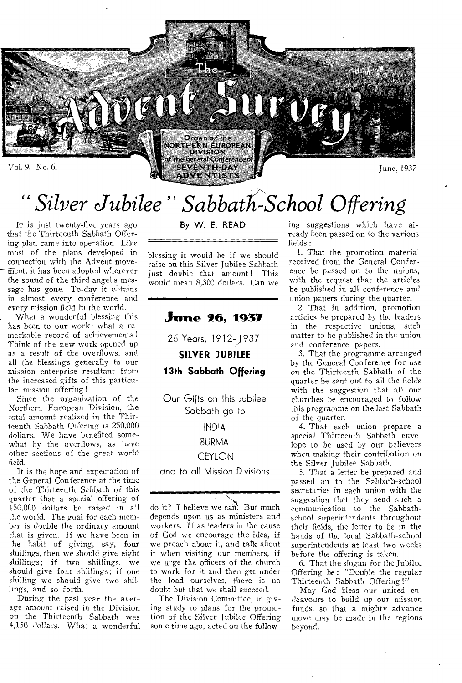

*" Silver Jubilee" SabbatIc-School Offering* 

IT is just twenty-five years ago that the Thirteenth Sabbath Offering plan came into operation. Like most of the plans developed in connection with the Advent move- $\widehat{\text{m}}$ ent, it has been adopted wherever the sound of the third angel's message has gone. To-day it obtains in almost every conference and every mission field in the world.

What a wonderful blessing this has been to our work; what a remarkable record of achievements! Think of the new work opened up as a result of the overflows, and all the blessings generally to our mission enterprise resultant from the increased gifts of this particular mission offering!

Since the organization of the Northern European Division, the total amount realized in the Thirteenth Sabbath Offering is 250,000 dollars. We have benefited somewhat by the overflows, as have other sections of the great world field.

It is the hope and expectation of the General Conference at the time of the Thirteenth Sabbath of this quarter that a special offering of 150;000 dollars be raised in all the world. The goal for each member is double the ordinary amount that is given. If we have been in the habit of giving, say, four shillings, then we should give eight shillings; if two shillings, we should give four shillings; if one shilling we should give two shillings, and so forth.

During the past year the average amount raised in the Division on the Thirteenth Sabbath was 4,150 dollars. What a wonderful By W. E. READ

blessing it would be if we should raise on this Silver Jubilee Sabbath just double that amount! This would mean 8,300 dollars. Can we

**June 26, 1937 25 Years,** 1912-1 937

**SILVER 3UBILEE 13th Sabbath Offering** 

Our Gifts on this Jubilee Sabbath go to

### INDIA

### BURMA

### **CEYLON**

and to all Mission Divisions

do it? I believe we can. But much depends upon us as ministers and workers. If as leaders in the cause of God we encourage the idea, if we preach about it, and talk about it when visiting our members, if we urge the officers of the church to work for it and then get under the load ourselves, there is no doubt but that we shall succeed.

The Division Committee, in giving study to plans for the promotion of the Silver Jubilee Offering some time ago, acted on the following suggestions which have already been passed on to the various fields :

1. That the promotion material received from the General Conference be passed on to the unions, with the request that the articles be published in all conference and union papers during the quarter.

2. That in addition, promotion articles be prepared by the leaders in the respective unions, such matter to be published in the union and conference papers.

3. That the programme arranged by the General Conference for use on the Thirteenth Sabbath of the quarter be sent out to all the fields with the suggestion that all our churches be encouraged to follow this programme on the last Sabbath of the quarter.

4. That each union prepare a special Thirteenth Sabbath envelope to be used by our believers when making their contribution on the Silver Jubilee Sabbath.

5. That a letter be prepared and passed on to the Sabbath-school secretaries in each union with the suggestion that they send such a communication to the Sabbathschool superintendents throughout their fields, the letter to be in the hands of the local Sabbath-school superintendents at least two weeks before the offering is taken.

6. That the slogan for the Jubilee Offering be: "Double the regular Thirteenth Sabbath Offering !"

May God bless our united endeavours to build up our mission funds, so that a mighty advance move may be made in the regions beyond,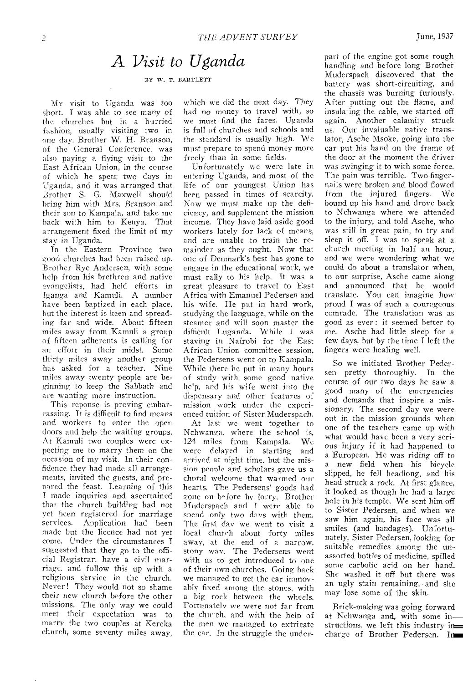## A Visit to Uganda

BY W. T. BARTLETT

MY visit to Uganda was too short. I was able to see many of the churches but in a hurried fashion, usually visiting two in one day. Brother W. H. Branson, of the General Conference, was also paying a flying visit to the East African Union, in the course of which he spent two days in Uganda, and it was arranged that .3rother S. G. Maxwell should bring him with Mrs. Branson and their son to Kampala, and take me back with him to Kenya. That arrangement fixed the limit of my stay in Uganda.

In the Eastern Province two good churches had been raised up. Brother Rye Andersen, with some help from his brethren and native evangelists, had held efforts in Iganga and Kamuli. A number have been baptized in each place, but the interest is keen and spreading far and wide. About fifteen miles away from Kamuli a group of fifteen adherents is calling for an effort in their midst. Some thirty miles away another group has asked for a teacher. Nine miles away twenty people are beginning to keep the Sabbath and are wanting more instruction.

This reponse is proving embarrassing. It is difficult to find means and workers to enter the open doors and help the waiting groups. At Kamuli two couples were expecting me to marry them on the occasion of my visit. In their confidence they had made all arrangements, invited the guests, and prepared the feast. Learning of this made inquiries and ascertained that the church building had not yet been registered for marriage services. Application had been made but the licence had not yet come. Under the circumstances I suggested that they go to the official Registrar, have a civil marriage, and follow this up with a religious service in the church. Never! They would not so shame their new church before the other missions. The only way we could meet their expectation was to marry the two couples at Kereka church, some seventy miles away, which we did the next day. They had no money to travel with, so we must find the fares. Uganda is full of churches and schools and the standard is usually high. We must prepare to spend money more freely than in some fields.

Unfortunately we were late in entering Uganda, and most of the life of our youngest Union has been passed in times of scarcity. Now we must make up the deficiency, and supplement the mission income. They have laid aside good workers lately for lack of means, and are unable to train the remainder as they ought. Now that one of Denmark's best has gone to engage in the educational work, we must rally to his help. It was a great pleasure to travel to East Africa with Emanuel Pedersen and his wife. He put in hard work, studying the language, while on the steamer and will soon master the difficult Luganda. While I was staving in Nairobi for the East African Union committee session, the Pcdersens went on to Kampala. While there he put in many hours of study with some good native help, and his wife went into the dispensary and other features of mission work under the experienced tuition of Sister Muderspach.

At last we went together to Nchwanga, where the school is, 124 miles from Kampala. were delayed in starting and arrived at night time. hut the mission people and scholars gave us a choral welcome that warmed our hearts. The Pedersens' goods had gone on before by lorry. Brother Muderspach and T were able to spend only two days with them. The first day we went to visit a local church about forty miles away, at the end of a narrow, stony way. The Pedersens went with us to get introduced to one of their own churches. Going back we managed to get the car immovably fixed among the stones, with a big rock between the wheels. Fortunately we were not far from the church, and with the help of the men we managed to extricate the car. In the struggle the underpart of the engine got some rough handling and before long Brother Muderspach discovered that the battery was short-circuiting, and the chassis was burning furiously. After putting out the flame, and insulating the cable, we started off again. Another calamity struck us. Our invaluable native translator, Asche Msoke, going into the car put his hand on the frame of the door at the moment the driver was swinging it to with some force. The pain was terrible. Two fingernails were broken and blood flowed from the injured fingers. We bound up his hand and drove back to Nchwanga where we attended to the injury, and told Asche, who was still in great pain, to try and sleep it off. I was to speak at a church meeting in half an hour, and we were wondering what we could do about a translator when, to our surprise, Asche came along and announced that he would translate. You can imagine how proud I was of such a courageous comrade. The translation was as good as ever : it seemed better to me. Asche had little sleep for a few days, but by the time I left the fingers were healing well.

So we initiated Brother Pedersen pretty thoroughly. In the course of our two days he saw a good many of the emergencies and demands that inspire a missionary. The second day we were out in the mission grounds when one of the teachers came up with what would have been a very serious injury if it had happened to a European. He was riding off to a new field when his bicycle slipped, he fell headlong, and his head struck a rock. At first glance, it looked as though he had a large hole in his temple. We sent him off to Sister Pedersen, and when we saw him again, his face was all smiles (and bandages). Unfortunately, Sister Pedersen, looking for suitable remedies among the unassorted bottles of medicine, spilled some carbolic acid on her hand. She washed it off but there was an ugly stain remaining, • and she may lose some of the skin.

Brick-making was going forward at Nchwanga and, with some in structions, we left this industry in charge of Brother Pedersen. In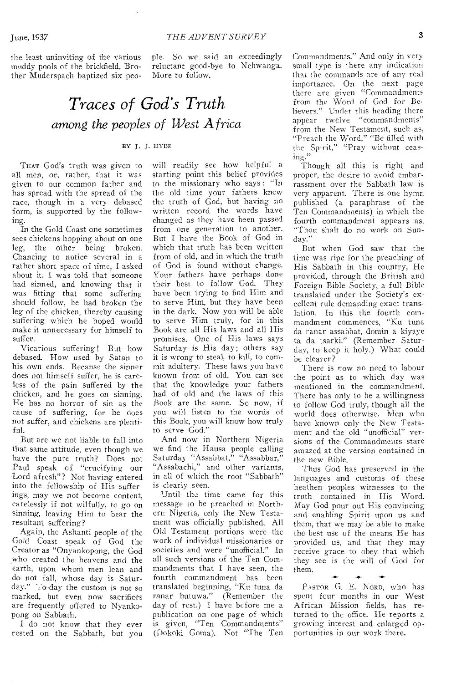the least uninviting of the various muddy pools of the brickfield, Brother Muderspach baptized six people. So we said an exceedingly reluctant good-bye to Nchwanga. More to follow.

# *Traces of God's Truth among the peoples of West Africa*

### BY J. J. HYDE

THAT God's truth was given to all men, or, rather, that it was given to our common father and has spread with the spread of the race, though in a very debased form, is supported by the following.

In the Gold Coast one sometimes sees chickens hopping about on one leg, the other being broken. Chancing to notice several in a rather short space of time, I asked about it. I was told that someone had sinned, and knowing that it was fitting that some suffering should follow, he had broken the leg of the chicken, thereby causing suffering which he hoped would make it unnecessary for himself to suffer.

Vicarious suffering ! But how debased. How used by Satan to his own ends. Because the sinner does not himself suffer, he is careless of the pain suffered by the chicken, and he goes on sinning. He has no horror of sin as the cause of suffering, for he does not suffer, and chickens are plentiful.

But are we not liable to fall into that same attitude, even though we have the pure truth? Does not Paul speak of "crucifying our Lord afresh"? Not having entered into the fellowship of His sufferings, may we not become content, carelessly if not wilfully, to go on sinning, leaving Him to bear the resultant suffering?

Again, the Ashanti people of the Gold Coast speak of God the Creator as "Onyankopong, the God who created the heavens and the earth, upon whom men lean and .do not fall, whose day is Saturday." To-day the custom is not so marked, but even now sacrifices are frequently offered to Nyankopong on Sabbath.

I do not know that they ever rested on the Sabbath, but you will readily see how helpful a starting point this belief provides to the missionary who says : "In the old time your fathers knew the truth of God, but having no written record the words have changed as they have been passed from one generation to another. But I have the Book of God in which that truth has been written from of old, and in which the truth of God is found without change. Your fathers have perhaps done their best to follow God. They have been trying to find Him and to serve Him, but they have been in the dark. Now you will be able to serve Him truly, for in this Book are all His laws and all His promises. One of His laws says Saturday is His day; others say it is wrong to steal, to kill, to commit adultery. These laws you have known from of old. You can see that the knowledge your fathers had of old and the laws of this Book are the same. So now, if you will listen to the words of this Book, you will know how truly to serve God."

And now in Northern Nigeria we find the Hausa people calling Saturday "Assabbat," "Assabbar," "Assabachi," and other variants, in all of which the root "Sabbath" is clearly seen.

Until the time came for this message to be preached in Northern Nigeria, only the New Testament was officially published. All Old Testament portions were the work of individual missionaries or societies and were "unofficial." In all such versions of the Ten Commandments that I have seen, the fourth commandment has been translated beginning, "Ku tuna da ranar hutuwa." (Remember the day of rest.) I have before me a publication on one page of which is given, "Ten Commandments" (Dokoki Goma). Not "The Ten

Commandments." And only in very small type is there any indication that the commands are of any real importance. On the next page there are given "Commandments from the Word of God for Believers." Under this heading there appear twelve "commandments" from the New Testament, such as, "Preach the Word," "Be filled with the Spirit," "Pray without ceasing."

Though all this is right and proper, the desire to avoid embarrassment over the Sabbath law is very apparent. There is one hymn published (a paraphrase of the Ten Commandments).in which the fourth commandment appears as, "Thou shalt do no work on Sunday."

But when God saw that the time was ripe for the preaching of His Sabbath in this country, He provided, through the British and Foreign Bible Society, a full Bible translated under the Society's excellent rule demanding exact translation. In this the fourth commandment commences, "Ku tuna da ranar assabbat, domin a kiyaye ta da tsarki." (Remember Saturday, to keep it holy.) What could be clearer?

There is now no need to labour the point as to which day was mentioned in the commandment. There has only to be a willingness to follow God truly, though all the world does otherwise. Men who have known only the New Testament and the old "unofficial" versions of the Commandments stare amazed at the version contained in the new Bible.

Thus God has preserved in the languages and customs of these heathen peoples witnesses to the truth contained in His Word. May God pour out His convincing and enabling Spirit upon us and them, that we may be able to make the best use of the means He has provided us, and that they may receive grace to obey that which they *see* is the will of God for them.

 $+1111.1+111.1+111.1+111.1+111.1+111.1+111.1+111.1+111.1+111.1+111.1+111.1+111.1+111.1+111.1+111.1+111.1+111.1+111.1+111.1+111.1+111.1+111.1+111.1+111.1+111.1+111.1+111.1+111.1+111.1+111.1+111.1+111.1+111.1+111.1+111.1+11$ PASTOR G. E. NORD, who has spent four months in our West African Mission fields, has returned to the office. He reports a growing interest and enlarged opportunities in our work there.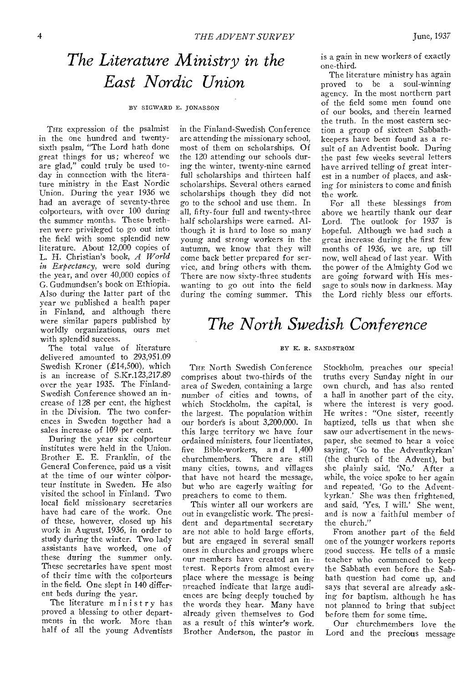# *The Literature Ministry in the East Nordic Union*

#### BY SIGWARD E. JONASSON

THE expression of the psalmist in the one hundred and twentysixth psalm, "The Lord hath done great things for us; whereof we are glad," could truly be used today in connection with the literature ministry in the East Nordic Union. During the year 1936 we had an average of seventy-three colporteurs, with over 100 during the summer months. These brethren were privileged to go out into the field with some splendid new literature. About 12,000 copies of L. H. Christian's book, *A World in Expectancy,* were sold during the year, and over 40,000 copies of G. Gudmundsen's book on Ethiopia. Also during the latter part of the year we published a health paper in Finland, and although there were similar papers published by worldly organizations, ours met with splendid success.

The total value of literature delivered amounted to 293,951.09 Swedish Kroner (£14,500), which is an increase of S.Kr.123,217.89 over the year 1935. The Finland-Swedish Conference showed an increase of 128 per cent, the highest in the Division. The two conferences in Sweden together had a sales increase of 109 per cent.

During the year six colporteur institutes were held in the Union. Brother E. E. Franklin, of the General Conference, paid us a visit at the time of our winter colporteur institute in Sweden. He also visited the school in Finland. Two local field missionary secretaries have had care of the work. One of these, however, closed up his work in August, 1936, in order to study during the winter. Two lady assistants have worked, one of these during the summer only. These secretaries have spent most of their time with the colporteurs in the field. One slept in 140 different beds during the year.

The literature ministry has proved a blessing to other departments in the work. More than half of all the young Adventists

in the Finland-Swedish Conference are attending the missionary school, most of them on scholarships. Of the 120 attending our schools during the winter, twenty-nine earned full scholarships and thirteen half scholarships. Several others earned scholarships though they did not go to the school and use them. In all, fifty-four full and twenty-three half scholarships were earned. Although it is hard to lose so many young and strong workers in the autumn, we know that they will come back better prepared for service, and bring others with them. There are now sixty-three students wanting to go out into the field during the coming summer. This is a gain in new workers of exactly one-third.

The literature ministry has again proved to be a soul-winning agency. In the most northern part of the field some men found one of our books, and therein learned the truth. In the most eastern section a group of sixteen Sabbathkeepers have been found as a result of an Adventist book. During the past few weeks several letters have arrived telling of great interest in a number of places, and asking for ministers to come and finish the work.

For all these blessings from above we heartily thank our dear Lord. The outlook for 1937 is hopeful. Although we had such a great increase during the first few months of 1936, we are, up till now, well ahead of last year. With the power of the Almighty God we are going forward with His message to souls now in darkness. May the Lord richly bless our efforts.

## *The North Swedish Conference*

#### BY K. R. SANDSTROM

THE North Swedish Conference comprises about two-thirds of the area of Sweden, containing a large number of cities and towns, of which Stockholm, the capital, is the largest. The population within our borders is about 3,200,000. In this large territory we have four ordained ministers, four licentiates, five Bible-workers, a n d 1,400 churchmembers. There are still many cities, towns, and villages that have not heard the message, but who are eagerly waiting for preachers to come to them.

This winter all our workers are out in evangelistic work. The president and departmental secretary are not able to hold large efforts, but are engaged in several small ones in churches and groups where our members have created an interest. Reports from almost every place where the message is being preached indicate that large audiences are being deeply touched by the words they hear. Many have already given themselves to God as a result of this winter's work. Brother Anderson, the pastor *in* 

Stockholm, preaches our special truths every Sunday night in our own church, and has also rented a hall in another part of the city, where the interest is very good. He writes: "One sister, recently baptized, tells us that when she saw our advertisement in the newspaper, she seemed to hear a voice saying, 'Go to the Adventkyrkan' (the church of the Advent), but she plainly said, 'No.' After a while, the voice spoke to her again and repeated, 'Go to the Adventkyrkan.' She was then frightened, and said, 'Yes, I will.' She went, and is now a faithful member of the church."

From another part of the field one of the younger workers reports good success. He tells of a music teacher who commenced to keep the Sabbath even before the Sabbath question had come up, and says that several are already asking for baptism, although he has not planned to bring that subject before them for some time.

Our churchmembers love the Lord and the precious message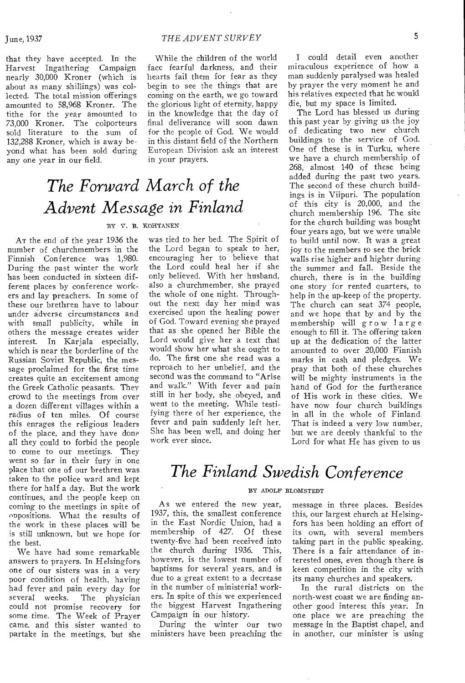that they have accepted. In the Harvest Ingathering Campaign nearly 30,000 Kroner (which is about as many shillings) was collected. The total mission offerings amounted to 58,968 Kroner. The tithe for the year amounted to 73,000 Kroner. The colporteurs sold literature to the sum of 132,288 Kroner, which is away beyond what has been sold during any one year in our field.

### June, 1937 *THE ADVENT SURVEY* <sup>5</sup>

While the children of the world face fearful darkness, and their hearts fail them for fear as they begin to see the things that are coming on the earth, we go toward the glorious light of eternity, happy in the knowledge that the day of final deliverance will soon dawn for the people of God. We would in this distant field of the Northern European Division ask an interest in your prayers.

# *The Forward March of the Advent Message in Finland*

#### BY V. B. KOHTANEN

AT the end of the year 1936 the number of churchmembers in the Finnish Conference was 1,980. During the past winter the work has been conducted in sixteen different places by conference workers and lay preachers. In some of these our brethren have to labour under adverse circumstances and with small publicity, while in others the message creates wider interest. In Karjala especially, which is near the borderline of the Russian Soviet Republic, the message proclaimed for the first time creates quite an excitement among the Greek Catholic peasants. They crowd to the meetings from over a dozen different villages within a radius of ten miles. Of course this enrages the religious leaders of the place, and they have done all they could to forbid the people to come to our meetings. They went so far in their fury in one place that one of our brethren was taken to the police ward and kept there for half a day. But the work continues, and the people keep on coming to the meetings in spite of oppositions. What the results of the work in these places will be is still unknown, but we hope for the best.

We have had some remarkable answers to prayers. In Helsingfors one of our sisters was in a very poor condition of health, having had fever and pain every day for<br>several weeks. The physician The physician could not promise recovery for some time. The Week of Prayer came, and this sister wanted to partake in the meetings, but she was tied to her bed. The Spirit of the Lord began to speak to her, encouraging her to believe that the Lord could heal her if she only believed. With her husband, also a churchmember, she prayed the whole of one night. Throughout the next day her mind was exercised upon the healing power of God. Toward evening she prayed that as she opened her Bible the Lord would give her a text that would show her what she ought to do. The first one she read was a reproach to her unbelief, and the second was the command to "Arise and walk." With fever and pain still in her body, she obeyed, and went to the meeting. While testifying there of her experience, the fever and pain suddenly left her. She has been well, and doing her work ever since.

I could detail even another miraculous experience of how a man suddenly paralysed was healed by prayer the very moment he and his relatives expected that he would die, but my space is limited.

The Lord has blessed us during this past year by giving us the joy of dedicating two new church buildings to the service of God. One of these is in Turku, where we have a church membership of 268, almost 140 of these being added during the past two years. The second of these church buildings is in Viipuri. The population of this city is 20,000, and the church membership 196. The site for the church building was bought four years ago, but we were unable to build until now. It was a great joy to the members to see the brick walls rise higher and higher during the summer and fall. Beside the church, there is in the building one story for rented quarters, to help in the up-keep of the property. The church can seat 374 people, and we hope that by and by the membership will grow large enough to fill it. The offering taken up at the dedication of the latter amounted to over 20,000 Finnish marks in cash and pledges. We pray that both of these churches will be mighty instruments in the hand of God for the furtherance of His work in these cities. We have now four church buildings in all in the whole of Finland. That is indeed a very low number, but we are deeply thankful to the Lord for what He has given to us

## *The Finland Swedish Conference*

#### BY ADOLF BLOMSTEDT

As we entered the new year, 1937, this, the smallest conference in the East Nordic Union, had a membership of 427. Of these twenty-five had been received into the church during 1936. This, however, is the lowest number of baptisms for several years, and is due to a great extent to a decrease in the number of ministerial workers. In spite of this we experienced the biggest Harvest Ingathering Campaign in our history.

During the winter our two ministers have been preaching the message in three places. Besides this, our largest church at Helsingfors has been holding an effort of its own, with several members taking part in the public speaking. There is a fair attendance of interested ones, even though there is keen competition in the city with its many churches and speakers.

In the rural districts on the north-west coast we are finding another good interest this year. In one place we are preaching the message in the Baptist chapel, and in another, our minister is using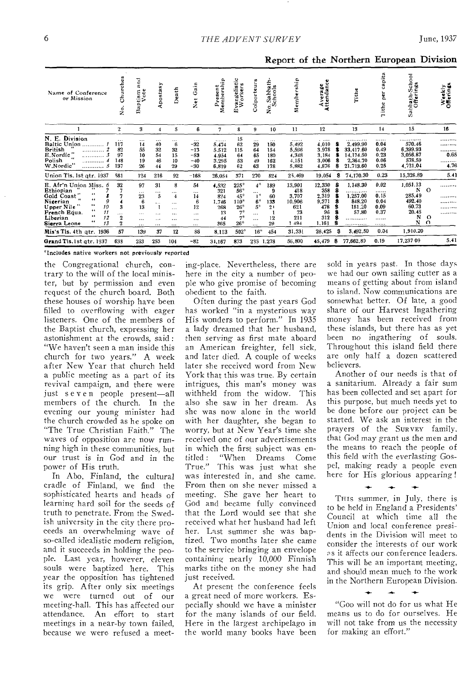Report of the Northern European Division

| Name of Conference<br>or Mission                                                                                                                                                                                             | urches<br>ర్<br>ö<br>ż                                    | and<br>tism<br>Vote<br>۵<br>Ba                              | postasy                                                          | Death                                                                           | ain<br>ق<br>$\tilde{\mathbf{z}}$                                     | ۵<br>⊶<br>Membersh<br>с<br>ω<br>ω<br>ρ,                | ٠<br>š<br>嵩<br>$\bullet$<br>ngel<br>Offici<br>द्भ≅<br>ω               | Colporteurs                                                                                   | £<br>Sabbat<br>chools<br>්<br>ż.            | Membership                                                            | Average<br>Attendance                                                        |    | rithe<br>Lith                                                                            | capita<br>per<br>ithe<br>e                                | Sabbath-School<br>Offerings                                               |                                 | >ฉ<br>Weekl <sub>3</sub>       |
|------------------------------------------------------------------------------------------------------------------------------------------------------------------------------------------------------------------------------|-----------------------------------------------------------|-------------------------------------------------------------|------------------------------------------------------------------|---------------------------------------------------------------------------------|----------------------------------------------------------------------|--------------------------------------------------------|-----------------------------------------------------------------------|-----------------------------------------------------------------------------------------------|---------------------------------------------|-----------------------------------------------------------------------|------------------------------------------------------------------------------|----|------------------------------------------------------------------------------------------|-----------------------------------------------------------|---------------------------------------------------------------------------|---------------------------------|--------------------------------|
|                                                                                                                                                                                                                              | $\mathbf 2$                                               | 3                                                           | 4                                                                | 5                                                                               | 6                                                                    | 7                                                      | 8                                                                     | 9                                                                                             | 10                                          | 11                                                                    | 12                                                                           |    | 13                                                                                       | 14                                                        | 15                                                                        |                                 | 16                             |
| Division<br>N. E.<br>Baltic Union<br>British<br><br>E.Nordic"<br>Polish<br>.<br>.<br>W.Nordic"<br>.                                                                                                                          | $\cdots$<br>117<br>82<br>97<br>148<br>137<br>5            | $\cdots$<br>14<br>55<br>10<br>19<br>26                      | $\cdots$<br>40<br>32<br>54<br>46<br>44                           | $\cdots$<br>6<br>32<br>15<br>10<br>29                                           | $\cdots$<br>$-32$<br>$-13$<br>$-53$<br>$-40$<br>$-30$                | <br>5.474<br>5.512<br>4.954<br>3.295<br>6,819          | 15<br>62<br>115<br>64<br>53<br>62                                     | $\cdots$<br>29<br>64<br>65<br>49<br>63                                                        | $\cdots$<br>150<br>154<br>180<br>162<br>178 | <br>5,492<br>5,596<br>4,348<br>4,151<br>5,882                         | $\cdot$ $\cdot$ $\cdot$ $\cdot$<br>4,010<br>3.978<br>3,184<br>3,006<br>4,876 | 8  | . <i>. .</i><br>2,499.90<br>33.417.60<br>14, 174, 50<br>2,364.70<br>21,713.60            | <br>0.04<br>0.49<br>0.23<br>0.06<br>0.25                  | 570.46<br>6,399.93<br>3,056.87<br>578.59<br>4,721.04                      |                                 | .<br>.<br><br>0.65<br><br>4.76 |
| Union Tis. 1st qtr. 1937                                                                                                                                                                                                     | 581                                                       | 124                                                         | 216                                                              | 92                                                                              | $-168$                                                               | 26,054                                                 | 371                                                                   | 270                                                                                           | 824                                         | 25,469                                                                | 19,054                                                                       | 8  | 74,170.30                                                                                | 0.23                                                      | 15,326.89                                                                 |                                 | 5.41                           |
| E. Afr'n Union Miss. 6<br>Ethiopian<br>$^{4+}$<br>Gold Coast<br>46<br>Nigerian<br>$\bullet\bullet$<br>10<br>Upper Nile<br>$\cdots$<br>French Equa.<br>11<br>$\bullet\bullet$<br>Liberian<br>$\epsilon$<br>13<br>Sierra Leone | 32<br>3<br>$\cdots$<br>12<br>$\boldsymbol{2}$<br>ā.<br>57 | 97<br>$\cdots$<br>23<br>6<br>13<br>$\cdots$<br>$\cdots$<br> | 31<br><br>$\overline{5}$<br>$\cdots$<br>$\cdots$<br>$\cdots$<br> | 8<br><br>$\overline{\bf 4}$<br>$\cdots$<br>$\cdots$<br>$\cdots$<br><br>$\cdots$ | 54<br>$\ddotsc$<br>14<br>6<br>12<br>$\cdots$<br>$\cdots$<br>$\cdots$ | 4,532<br>321<br>824<br>1,746<br>268<br>13<br>44<br>365 | $225*$<br>$56*$<br>$45*$<br>$110*$<br>$26*$<br>$7^*$<br>$7*$<br>$26*$ | $4*$<br>$\cdots$<br>$\mathbf{I}^*$<br>$6*$<br>$\bar{5}^*$<br>$\cdots$<br>$\cdots$<br>$\cdots$ | 189<br>9<br>60<br>133<br>21<br>12<br>29     | 13,901<br>418<br>3,707<br>10.906<br>621<br>73<br>211<br>494<br>31,331 | 12,330<br>358<br>2,319<br>9,371<br>478<br>96<br>312<br>1.161<br>26,425       | S. | 1,148.30<br>.<br>1,257.00<br>848.20<br>181.20<br>57.80<br><br><br>. <b>.</b><br>3,492.50 | 0.02<br>.<br>0.15<br>0.04<br>0.09<br>0.37<br><br><br>0.04 | 1,051.13<br>N<br>285.49<br>492.40<br>60.73<br>20.45<br>N<br>N<br>1,910.20 | $\Omega$<br>$\circ$<br>$\Omega$ | <br>. <b>.</b> .<br><br><br>   |
| Mis's Tls. 4th gtr. 1936                                                                                                                                                                                                     |                                                           | 139                                                         | 37                                                               | 12                                                                              | 86                                                                   | 8,113                                                  | $502*$                                                                | $16*$                                                                                         | 454                                         |                                                                       |                                                                              |    |                                                                                          |                                                           |                                                                           |                                 | 5.41                           |
| Grand Tis. 1st gtr. 1937                                                                                                                                                                                                     | 633                                                       | 233                                                         | 253                                                              | 104                                                                             | $-82$                                                                | 34,167                                                 | 873                                                                   | 235                                                                                           | 1,278                                       | 56,800                                                                | 45,479                                                                       | 8  | 77,662.80                                                                                | 0.19                                                      | 17.237 09                                                                 |                                 |                                |

\*Includes native workers not previously reported

the Congregational church, contrary to the will of the local minister, but by permission and even request of the church board. Both these houses of worship have been filled to overflowing with eager listeners. One of the members of the Baptist church, expressing her astonishment at the crowds, said: "We haven't seen a man inside this church for two years." A week after New Year that church held a public meeting as a part of its revival campaign, and there were just seven people present-all members of the church. In the evening our young minister had the church crowded as he spoke on "The True Christian Faith," The waves of opposition are now running high in these communities, but our trust is in God and in the power of His truth.

In Abo, Finland, the cultural cradle of Finland, we find the sophisticated hearts and heads of learning hard soil for the seeds of truth to penetrate. From the Swedish university in the city there proceeds an overwhelming wave of so-called idealistic modern religion, and it succeeds in holding the people. Last year, however, eleven souls were baptized here. This year the opposition has tightened its grip. After only six meetings we were turned out of our meeting-hall. This has affected our attendance. An effort to start meetings in a near-by town failed, because we were refused a meeting-place. Nevertheless, there are here in the city a number of people who give promise of becoming obedient to the faith.

Often during the past years God has worked "in a mysterious way His wonders to perform." In 1935 a lady dreamed that her husband, then serving as first mate aboard an American freighter, fell sick, and later died. A couple of weeks later she received word from New York that this was true. By certain intrigues, this man's money was withheld from the widow. This also she saw in her dream. As she was now alone in the world with her daughter, she began to worry, but at New Year's time she received one of our advertisements in which the first subject was en-"When Dreams titled: Come True." This was just what she was interested in, and she came. From then on she never missed a meeting. She gave her heart to God and became fully convinced that the Lord would see that she received what her husband had left her. Last summer she was baptized. Two months later she came to the service bringing an envelope containing nearly 10,000 Finnish marks tithe on the money she had just received.

At present the conference feels a great need of more workers. Especially should we have a minister for the many islands of our field. Here in the largest archipelago in the world many books have been

sold in years past. In those days we had our own sailing cutter as a means of getting about from island to island. Now communications are somewhat better. Of late, a good share of our Harvest Ingathering money has been received from these islands, but there has as yet been no ingathering of souls. Throughout this island field there are only half a dozen scattered believers.

Another of our needs is that of a sanitarium. Already a fair sum has been collected and set apart for this purpose, but much needs yet to be done before our project can be started. We ask an interest in the prayers of the SURVEY family. that God may grant us the men and the means to reach the people of this field with the everlasting Gospel, making ready a people even here for His glorious appearing!

THIS summer, in July, there is to be held in England a Presidents' Council at which time all the Union and local conference presidents in the Division will meet to consider the interests of our work as it affects our conference leaders. This will be an important meeting, and should mean much to the work in the Northern European Division.

"Gop will not do for us what He means us to do for ourselves. He will not take from us the necessity for making an effort."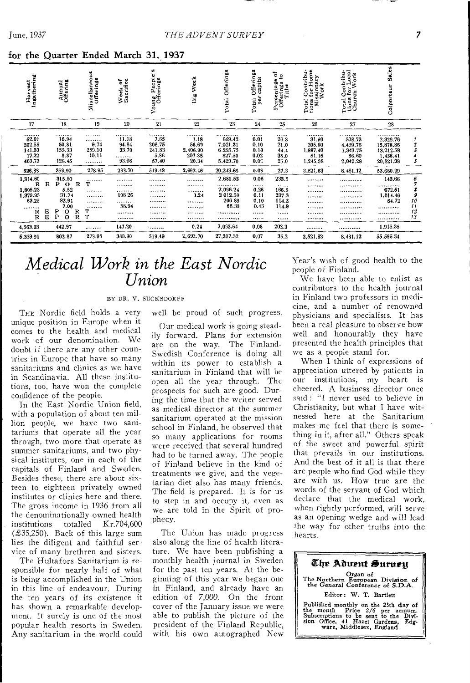| Harvest<br>Ingathering                                                  |                        | Annual<br>Offering                                                                                                          | Miscellaneou <b>s</b><br>Offerings   | Week of<br>Sacrifice                     | People's<br><b>Young Peopi</b><br>Offerings   | Big Week                                         | Offerings<br>Total                                                                 | Offerings<br>capita<br>per<br>Total                         | č<br>$\mathbf{c}$<br>$\mathbf{v}$<br>Percentage<br>Offerings<br>Tithe | Total Contribu-<br>tions for Home<br>Missionary<br>Work | Total Contribu-<br>tions for Local<br>Church Work                                                   | Sales<br>Colporteur                                             |                                 |
|-------------------------------------------------------------------------|------------------------|-----------------------------------------------------------------------------------------------------------------------------|--------------------------------------|------------------------------------------|-----------------------------------------------|--------------------------------------------------|------------------------------------------------------------------------------------|-------------------------------------------------------------|-----------------------------------------------------------------------|---------------------------------------------------------|-----------------------------------------------------------------------------------------------------|-----------------------------------------------------------------|---------------------------------|
| 17                                                                      |                        | 18                                                                                                                          | 19                                   | 20                                       | 21                                            | 22                                               | 23                                                                                 | 24                                                          | 25                                                                    | 26                                                      | 27                                                                                                  | 28                                                              |                                 |
| <br>62.01<br>202.55<br>141.37<br>17.22<br>403,73                        |                        | <br>16.94<br>50.81<br>155.33<br>8.37<br>128.45                                                                              | <br>.<br>9.74<br>259.10<br>10.11<br> | <br>11.18<br>94.84<br>33.70<br><br>93.98 | <br>7.65<br>206.75<br>241.83<br>5.86<br>57.40 | <br>1.18<br>56.69<br>2.406.90<br>207.35<br>20.34 | <br>669.42<br>7,021.31<br>6.295.75<br>827.50<br>5,429.70                           | <br>0.01<br>0.10<br>0.10<br>0.02<br>0.05                    | <br>26.8<br>21.0<br>44.4<br>35.0<br>25.0                              | <br>31.90<br>205.80<br>1,987.40<br>51.15<br>1,245.38    | <br>508.73<br>4,499.76<br>1,343.75<br>86.60<br>2,042.28                                             | <br>2,329.76<br>15,878.86<br>13,212.58<br>1,438.41<br>20,821.38 |                                 |
| 826.88                                                                  |                        | 359.90                                                                                                                      | 278.95                               | 233.70                                   | 519.49                                        | 2,692.46                                         | 20,243.68                                                                          | 0.05                                                        | 27.3                                                                  | 3.521.63                                                | 8.481.12                                                                                            | 53.680.99                                                       |                                 |
| 1,314.60<br>R<br>1,805.23<br>1,379.95<br>63.25<br><br>R<br>$\mathbb{R}$ | R<br>Ε<br>$\mathbf{B}$ | 315,80<br>P<br>R<br>$\bullet$<br>5.52<br>31.74<br>82.91<br>7.00<br>Ρ<br>R<br>$\mathbf o$<br>P<br>$\overline{R}$<br>$\Omega$ | <br>т<br><br><br><br><br>т<br>T      | <br><br><br>108 26<br><br>38.94<br><br>  | <br><br><br><br><br><br><br>                  | <br><br><br>0.24<br>.<br><br>*********<br>       | 2,681.53<br><br>2,096.24<br>2 012.59<br>206 89<br>66,39<br><br>******** <b>***</b> | 0.06<br><br>0.26<br>0.11<br>0.10<br>0.43<br><br>1.1.1.1.1.1 | 233.5<br><br>166.8<br>237.3<br>114.2<br>114.9<br><br>                 | <br><b></b><br><br><br><br><br><br>                     | . <u>. .</u> <b>.</b><br><br>. <del>.</del> <b>.</b> .<br>. <b>.</b> .<br><br>************<br>.<br> | 143.66<br><br>672.51<br>1,014.46<br>84.72<br><br><br>           | 16<br>$\mathcal{I}$<br>12<br>13 |
| 4,563.03                                                                |                        | 442.97                                                                                                                      |                                      | 147.20                                   |                                               | 0.24                                             | 7.053.64                                                                           | 0.08                                                        | 202.3                                                                 |                                                         | <b></b>                                                                                             | 1.915.35                                                        |                                 |
| 5.339.91                                                                |                        | 802.87                                                                                                                      | 278.95                               | 330.90                                   | 519.49                                        | 2,692.70                                         | 27,307.32                                                                          | 0.07                                                        | 35,2                                                                  | 3,521.63                                                | 8.431.12                                                                                            | 55,596.34                                                       |                                 |

### for the Quarter Ended March 31, 1937

June, 1937

## Medical Work in the East Nordic Union

BY DR. V. SUCKSDORFF

THE Nordic field holds a very unique position in Europe when it comes to the health and medical work of our denomination. We doubt if there are any other countries in Europe that have so many sanitariums and clinics as we have in Scandinavia. All these institutions, too, have won the complete confidence of the people.

In the East Nordic Union field, with a population of about ten million people, we have two sanitariums that operate all the year through, two more that operate as summer sanitariums, and two physical institutes, one in each of the capitals of Finland and Sweden. Besides these, there are about sixteen to eighteen privately owned institutes or clinics here and there. The gross income in 1936 from all the denominationally owned health institutions totalled  $Kr.704,600$  $(E35,250)$ . Back of this large sum lies the diligent and faithful service of many brethren and sisters.

The Hultafors Sanitarium is responsible for nearly half of what is being accomplished in the Union in this line of endeavour. During the ten years of its existence it has shown a remarkable development. It surely is one of the most popular health resorts in Sweden. Any sanitarium in the world could well be proud of such progress.

Our medical work is going steadily forward. Plans for extension are on the way. The Finland-Swedish Conference is doing all within its power to establish a sanitarium in Finland that will be open all the year through. The prospects for such are good. During the time that the writer served as medical director at the summer sanitarium operated at the mission school in Finland, he observed that so many applications for rooms were received that several hundred had to be turned away. The people of Finland believe in the kind of treatments we give, and the vegetarian diet also has many friends. The field is prepared. It is for us to step in and occupy it, even as we are told in the Spirit of prophecy.

The Union has made progress also along the line of health literature. We have been publishing a monthly health journal in Sweden for the past ten years. At the beginning of this year we began one in Finland, and already have an<br>edition of 7,000. On the front cover of the January issue we were able to publish the picture of the president of the Finland Republic. with his own autographed New

Year's wish of good health to the people of Finland.

 $\bar{\mathrm{W}}$ e have been able to enlist as contributors to the health journal in Finland two professors in medicine, and a number of renowned physicians and specialists. It has been a real pleasure to observe how well and honourably they have presented the health principles that we as a people stand for.

When I think of expressions of appreciation uttered by patients in our institutions, my heart is cheered. A business director once said: "I never used to believe in Christianity, but what I have witnessed here at the Sanitarium makes me feel that there is something in it, after all." Others speak of the sweet and powerful spirit that prevails in our institutions. And the best of it all is that there are people who find God while they are with us. How true are the words of the servant of God which declare that the medical work, when rightly performed, will serve as an opening wedge and will lead the way for other truths into the hearts.

The Aduent Surueu Organ of<br>The Northern European Division of<br>the General Conference of S.D.A. Editor: W. T. Bartlett Published monthly on the 25th day of<br>the month Price 2/6 per annum.<br>Subscriptions to be sent to the Divi-<br>sion Office, 41 Hazel Gardens, Edg-<br>ware, Middlesex, England